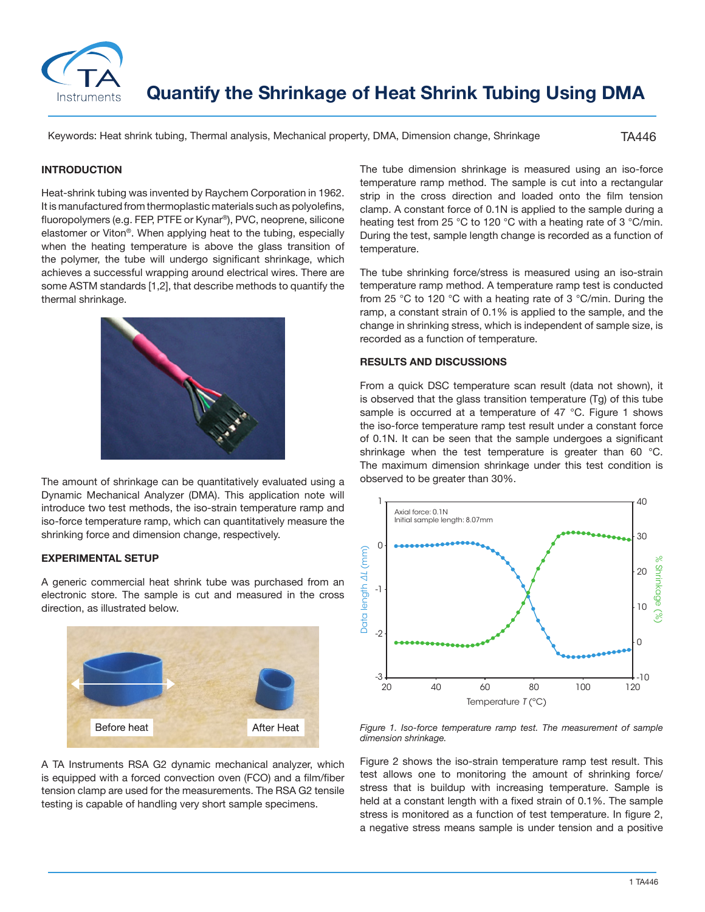

**Quantify the Shrinkage of Heat Shrink Tubing Using DMA**

Keywords: Heat shrink tubing, Thermal analysis, Mechanical property, DMA, Dimension change, Shrinkage

TA446

### **INTRODUCTION**

Heat-shrink tubing was invented by Raychem Corporation in 1962. It is manufactured from thermoplastic materials such as polyolefins, fluoropolymers (e.g. FEP, PTFE or Kynar®), PVC, neoprene, silicone elastomer or Viton®. When applying heat to the tubing, especially when the heating temperature is above the glass transition of the polymer, the tube will undergo significant shrinkage, which achieves a successful wrapping around electrical wires. There are some ASTM standards [1,2], that describe methods to quantify the thermal shrinkage.



The amount of shrinkage can be quantitatively evaluated using a Dynamic Mechanical Analyzer (DMA). This application note will introduce two test methods, the iso-strain temperature ramp and iso-force temperature ramp, which can quantitatively measure the shrinking force and dimension change, respectively.

# **EXPERIMENTAL SETUP**

A generic commercial heat shrink tube was purchased from an electronic store. The sample is cut and measured in the cross direction, as illustrated below.



A TA Instruments RSA G2 dynamic mechanical analyzer, which is equipped with a forced convection oven (FCO) and a film/fiber tension clamp are used for the measurements. The RSA G2 tensile testing is capable of handling very short sample specimens.

The tube dimension shrinkage is measured using an iso-force temperature ramp method. The sample is cut into a rectangular strip in the cross direction and loaded onto the film tension clamp. A constant force of 0.1N is applied to the sample during a heating test from 25 °C to 120 °C with a heating rate of 3 °C/min. During the test, sample length change is recorded as a function of temperature.

The tube shrinking force/stress is measured using an iso-strain temperature ramp method. A temperature ramp test is conducted from 25 °C to 120 °C with a heating rate of 3 °C/min. During the ramp, a constant strain of 0.1% is applied to the sample, and the change in shrinking stress, which is independent of sample size, is recorded as a function of temperature.

# **RESULTS AND DISCUSSIONS**

From a quick DSC temperature scan result (data not shown), it is observed that the glass transition temperature (Tg) of this tube sample is occurred at a temperature of 47 °C. Figure 1 shows the iso-force temperature ramp test result under a constant force of 0.1N. It can be seen that the sample undergoes a significant shrinkage when the test temperature is greater than 60 °C. The maximum dimension shrinkage under this test condition is observed to be greater than 30%.



*Figure 1. Iso-force temperature ramp test. The measurement of sample dimension shrinkage.*

Figure 2 shows the iso-strain temperature ramp test result. This test allows one to monitoring the amount of shrinking force/ stress that is buildup with increasing temperature. Sample is held at a constant length with a fixed strain of 0.1%. The sample stress is monitored as a function of test temperature. In figure 2,